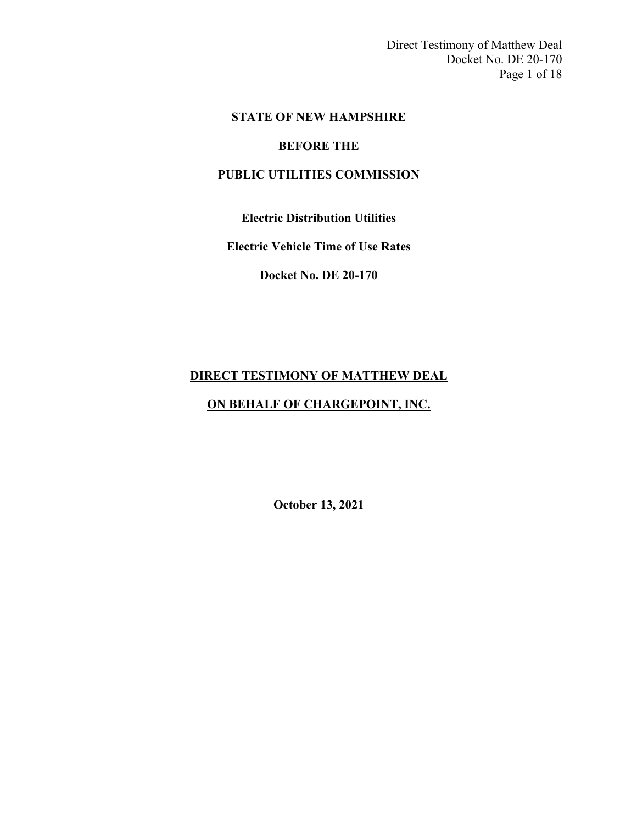Direct Testimony of Matthew Deal Docket No. DE 20-170 Page 1 of 18

### **STATE OF NEW HAMPSHIRE**

### **BEFORE THE**

# **PUBLIC UTILITIES COMMISSION**

**Electric Distribution Utilities**

**Electric Vehicle Time of Use Rates**

**Docket No. DE 20-170**

# **DIRECT TESTIMONY OF MATTHEW DEAL**

### **ON BEHALF OF CHARGEPOINT, INC.**

**October 13, 2021**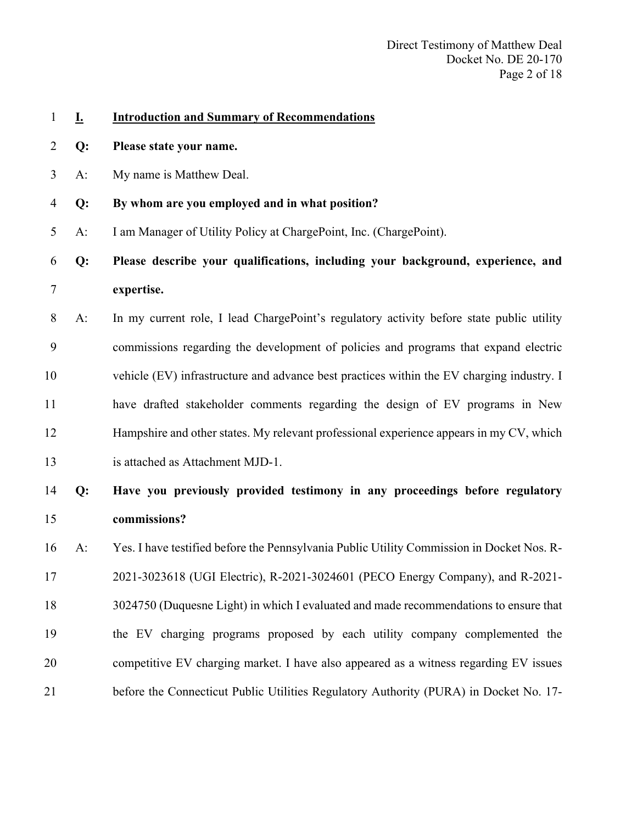| $\mathbf{1}$   | Ī.    | <b>Introduction and Summary of Recommendations</b>                                        |
|----------------|-------|-------------------------------------------------------------------------------------------|
| 2              | Q:    | Please state your name.                                                                   |
| 3              | $A$ : | My name is Matthew Deal.                                                                  |
| $\overline{4}$ | Q:    | By whom are you employed and in what position?                                            |
| 5              | $A$ : | I am Manager of Utility Policy at ChargePoint, Inc. (ChargePoint).                        |
| 6              | $Q$ : | Please describe your qualifications, including your background, experience, and           |
| 7              |       | expertise.                                                                                |
| 8              | $A$ : | In my current role, I lead ChargePoint's regulatory activity before state public utility  |
| 9              |       | commissions regarding the development of policies and programs that expand electric       |
| 10             |       | vehicle (EV) infrastructure and advance best practices within the EV charging industry. I |
| 11             |       | have drafted stakeholder comments regarding the design of EV programs in New              |
| 12             |       | Hampshire and other states. My relevant professional experience appears in my CV, which   |
| 13             |       | is attached as Attachment MJD-1.                                                          |
| 14             | Q:    | Have you previously provided testimony in any proceedings before regulatory               |
| 15             |       | commissions?                                                                              |
| 16             | $A$ : | Yes. I have testified before the Pennsylvania Public Utility Commission in Docket Nos. R- |
| 17             |       | 2021-3023618 (UGI Electric), R-2021-3024601 (PECO Energy Company), and R-2021-            |
| 18             |       | 3024750 (Duquesne Light) in which I evaluated and made recommendations to ensure that     |
| 19             |       | the EV charging programs proposed by each utility company complemented the                |
| 20             |       | competitive EV charging market. I have also appeared as a witness regarding EV issues     |
| 21             |       | before the Connecticut Public Utilities Regulatory Authority (PURA) in Docket No. 17-     |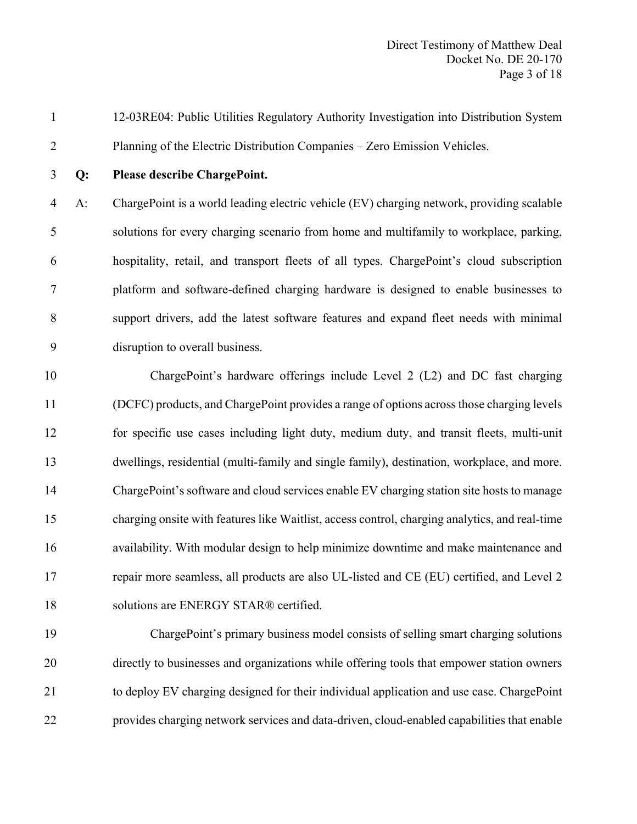12-03RE04: Public Utilities Regulatory Authority Investigation into Distribution System Planning of the Electric Distribution Companies – Zero Emission Vehicles.

#### **Q: Please describe ChargePoint.**

 A: ChargePoint is a world leading electric vehicle (EV) charging network, providing scalable solutions for every charging scenario from home and multifamily to workplace, parking, hospitality, retail, and transport fleets of all types. ChargePoint's cloud subscription platform and software-defined charging hardware is designed to enable businesses to support drivers, add the latest software features and expand fleet needs with minimal disruption to overall business.

 ChargePoint's hardware offerings include Level 2 (L2) and DC fast charging (DCFC) products, and ChargePoint provides a range of options across those charging levels for specific use cases including light duty, medium duty, and transit fleets, multi-unit dwellings, residential (multi-family and single family), destination, workplace, and more. ChargePoint's software and cloud services enable EV charging station site hosts to manage charging onsite with features like Waitlist, access control, charging analytics, and real-time availability. With modular design to help minimize downtime and make maintenance and repair more seamless, all products are also UL-listed and CE (EU) certified, and Level 2 18 solutions are ENERGY STAR® certified.

 ChargePoint's primary business model consists of selling smart charging solutions directly to businesses and organizations while offering tools that empower station owners to deploy EV charging designed for their individual application and use case. ChargePoint provides charging network services and data-driven, cloud-enabled capabilities that enable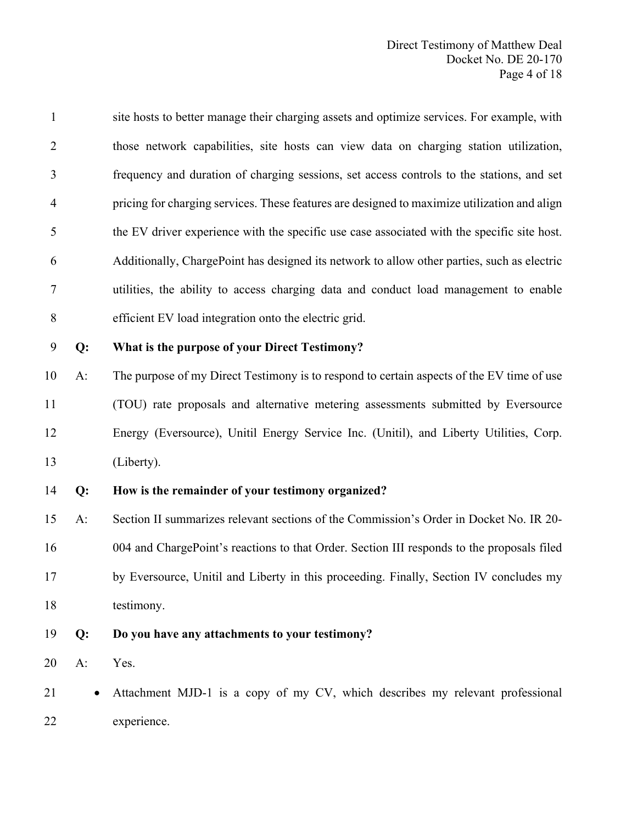site hosts to better manage their charging assets and optimize services. For example, with those network capabilities, site hosts can view data on charging station utilization, frequency and duration of charging sessions, set access controls to the stations, and set pricing for charging services. These features are designed to maximize utilization and align the EV driver experience with the specific use case associated with the specific site host. Additionally, ChargePoint has designed its network to allow other parties, such as electric utilities, the ability to access charging data and conduct load management to enable efficient EV load integration onto the electric grid.

# **Q: What is the purpose of your Direct Testimony?**

 A: The purpose of my Direct Testimony is to respond to certain aspects of the EV time of use (TOU) rate proposals and alternative metering assessments submitted by Eversource Energy (Eversource), Unitil Energy Service Inc. (Unitil), and Liberty Utilities, Corp. (Liberty).

**Q: How is the remainder of your testimony organized?**

 A: Section II summarizes relevant sections of the Commission's Order in Docket No. IR 20- 004 and ChargePoint's reactions to that Order. Section III responds to the proposals filed by Eversource, Unitil and Liberty in this proceeding. Finally, Section IV concludes my testimony.

**Q: Do you have any attachments to your testimony?**

A: Yes.

 • Attachment MJD-1 is a copy of my CV, which describes my relevant professional experience.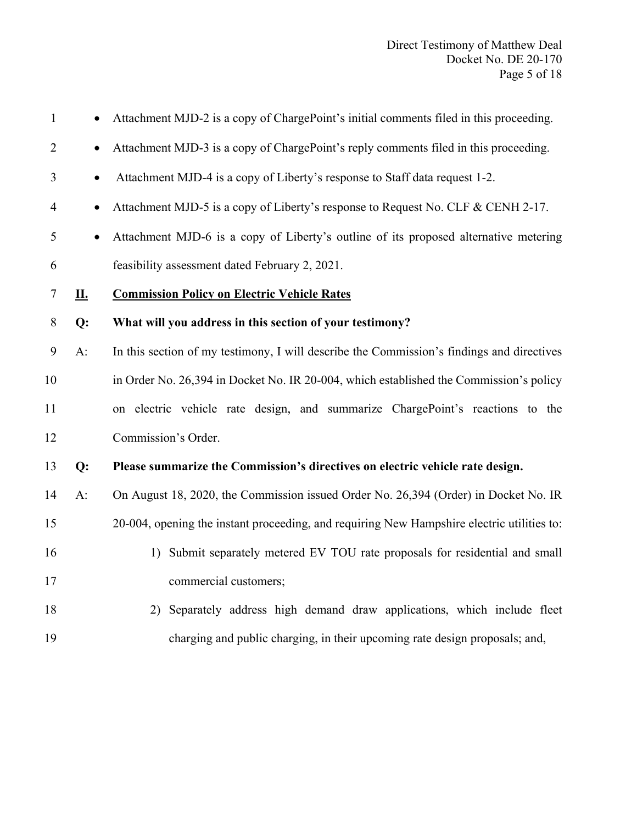| $\mathbf{1}$   | $\bullet$ | Attachment MJD-2 is a copy of ChargePoint's initial comments filed in this proceeding.     |
|----------------|-----------|--------------------------------------------------------------------------------------------|
| $\overline{2}$ | $\bullet$ | Attachment MJD-3 is a copy of ChargePoint's reply comments filed in this proceeding.       |
| 3              | $\bullet$ | Attachment MJD-4 is a copy of Liberty's response to Staff data request 1-2.                |
| $\overline{4}$ | $\bullet$ | Attachment MJD-5 is a copy of Liberty's response to Request No. CLF & CENH 2-17.           |
| 5              | $\bullet$ | Attachment MJD-6 is a copy of Liberty's outline of its proposed alternative metering       |
| 6              |           | feasibility assessment dated February 2, 2021.                                             |
| $\tau$         | <u>п.</u> | <b>Commission Policy on Electric Vehicle Rates</b>                                         |
| 8              | Q:        | What will you address in this section of your testimony?                                   |
| 9              | $A$ :     | In this section of my testimony, I will describe the Commission's findings and directives  |
| 10             |           | in Order No. 26,394 in Docket No. IR 20-004, which established the Commission's policy     |
| 11             |           | on electric vehicle rate design, and summarize ChargePoint's reactions to the              |
| 12             |           | Commission's Order.                                                                        |
| 13             | Q:        | Please summarize the Commission's directives on electric vehicle rate design.              |
| 14             | A:        | On August 18, 2020, the Commission issued Order No. 26,394 (Order) in Docket No. IR        |
| 15             |           | 20-004, opening the instant proceeding, and requiring New Hampshire electric utilities to: |
| 16             |           | 1) Submit separately metered EV TOU rate proposals for residential and small               |
| 17             |           | commercial customers;                                                                      |
| 18             |           | 2) Separately address high demand draw applications, which include fleet                   |
| 19             |           | charging and public charging, in their upcoming rate design proposals; and,                |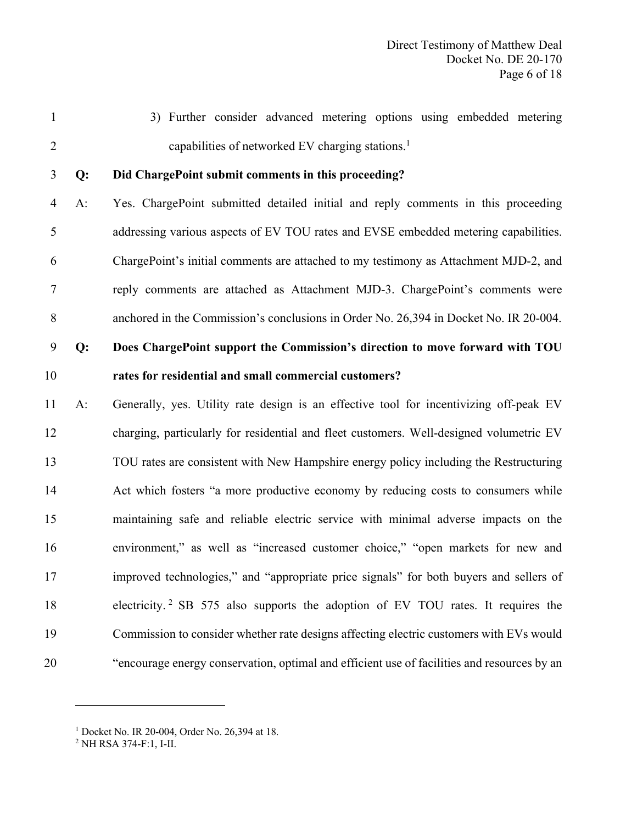3) Further consider advanced metering options using embedded metering 2 capabilities of networked EV charging stations.<sup>1</sup>

#### **Q: Did ChargePoint submit comments in this proceeding?**

 A: Yes. ChargePoint submitted detailed initial and reply comments in this proceeding addressing various aspects of EV TOU rates and EVSE embedded metering capabilities. ChargePoint's initial comments are attached to my testimony as Attachment MJD-2, and reply comments are attached as Attachment MJD-3. ChargePoint's comments were anchored in the Commission's conclusions in Order No. 26,394 in Docket No. IR 20-004.

# **Q: Does ChargePoint support the Commission's direction to move forward with TOU rates for residential and small commercial customers?**

 A: Generally, yes. Utility rate design is an effective tool for incentivizing off-peak EV charging, particularly for residential and fleet customers. Well-designed volumetric EV TOU rates are consistent with New Hampshire energy policy including the Restructuring Act which fosters "a more productive economy by reducing costs to consumers while maintaining safe and reliable electric service with minimal adverse impacts on the environment," as well as "increased customer choice," "open markets for new and improved technologies," and "appropriate price signals" for both buyers and sellers of 18 electricity.<sup>2</sup> SB 575 also supports the adoption of EV TOU rates. It requires the Commission to consider whether rate designs affecting electric customers with EVs would "encourage energy conservation, optimal and efficient use of facilities and resources by an

<sup>&</sup>lt;sup>1</sup> Docket No. IR 20-004, Order No. 26,394 at 18.

NH RSA 374-F:1, I-II.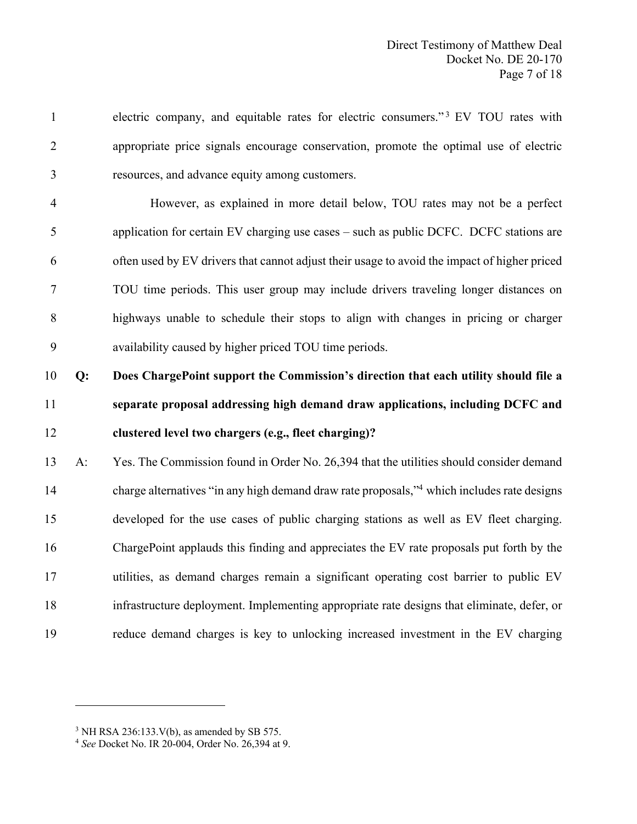electric company, and equitable rates for electric consumers."<sup>3</sup> EV TOU rates with appropriate price signals encourage conservation, promote the optimal use of electric resources, and advance equity among customers.

 However, as explained in more detail below, TOU rates may not be a perfect application for certain EV charging use cases – such as public DCFC. DCFC stations are often used by EV drivers that cannot adjust their usage to avoid the impact of higher priced TOU time periods. This user group may include drivers traveling longer distances on highways unable to schedule their stops to align with changes in pricing or charger availability caused by higher priced TOU time periods.

# **Q: Does ChargePoint support the Commission's direction that each utility should file a separate proposal addressing high demand draw applications, including DCFC and clustered level two chargers (e.g., fleet charging)?**

 A: Yes. The Commission found in Order No. 26,394 that the utilities should consider demand 14 charge alternatives "in any high demand draw rate proposals,"<sup>4</sup> which includes rate designs developed for the use cases of public charging stations as well as EV fleet charging. ChargePoint applauds this finding and appreciates the EV rate proposals put forth by the utilities, as demand charges remain a significant operating cost barrier to public EV infrastructure deployment. Implementing appropriate rate designs that eliminate, defer, or reduce demand charges is key to unlocking increased investment in the EV charging

NH RSA 236:133.V(b), as amended by SB 575.

*See* Docket No. IR 20-004, Order No. 26,394 at 9.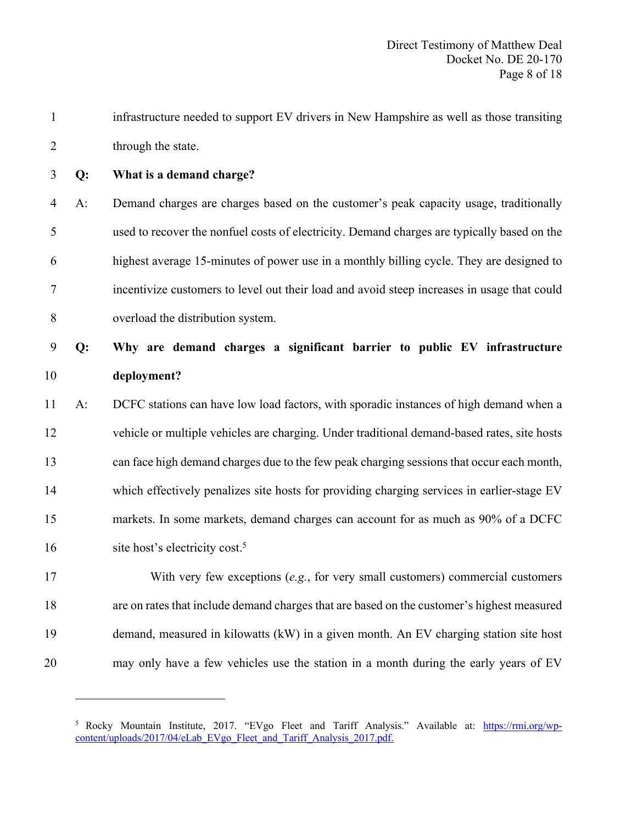| $\mathbf{1}$   |    | infrastructure needed to support EV drivers in New Hampshire as well as those transiting    |
|----------------|----|---------------------------------------------------------------------------------------------|
| $\overline{2}$ |    | through the state.                                                                          |
| 3              | Q: | What is a demand charge?                                                                    |
| $\overline{4}$ | A: | Demand charges are charges based on the customer's peak capacity usage, traditionally       |
| 5              |    | used to recover the nonfuel costs of electricity. Demand charges are typically based on the |
| 6              |    | highest average 15-minutes of power use in a monthly billing cycle. They are designed to    |
| 7              |    | incentivize customers to level out their load and avoid steep increases in usage that could |
| 8              |    | overload the distribution system.                                                           |
| 9              | Q: | Why are demand charges a significant barrier to public EV infrastructure                    |
| 10             |    | deployment?                                                                                 |
| 11             | A: | DCFC stations can have low load factors, with sporadic instances of high demand when a      |
| 12             |    | vehicle or multiple vehicles are charging. Under traditional demand-based rates, site hosts |
| 13             |    | can face high demand charges due to the few peak charging sessions that occur each month,   |
| 14             |    | which effectively penalizes site hosts for providing charging services in earlier-stage EV  |
| 15             |    | markets. In some markets, demand charges can account for as much as 90% of a DCFC           |
| 16             |    | site host's electricity cost. <sup>5</sup>                                                  |
| 17             |    | With very few exceptions $(e.g.,$ for very small customers) commercial customers            |
| 18             |    | are on rates that include demand charges that are based on the customer's highest measured  |
| 19             |    | demand, measured in kilowatts (kW) in a given month. An EV charging station site host       |
|                |    |                                                                                             |

may only have a few vehicles use the station in a month during the early years of EV

<sup>&</sup>lt;sup>5</sup> Rocky Mountain Institute, 2017. "EVgo Fleet and Tariff Analysis." Available at: https://rmi.org/wpcontent/uploads/2017/04/eLab\_EVgo\_Fleet\_and\_Tariff\_Analysis\_2017.pdf.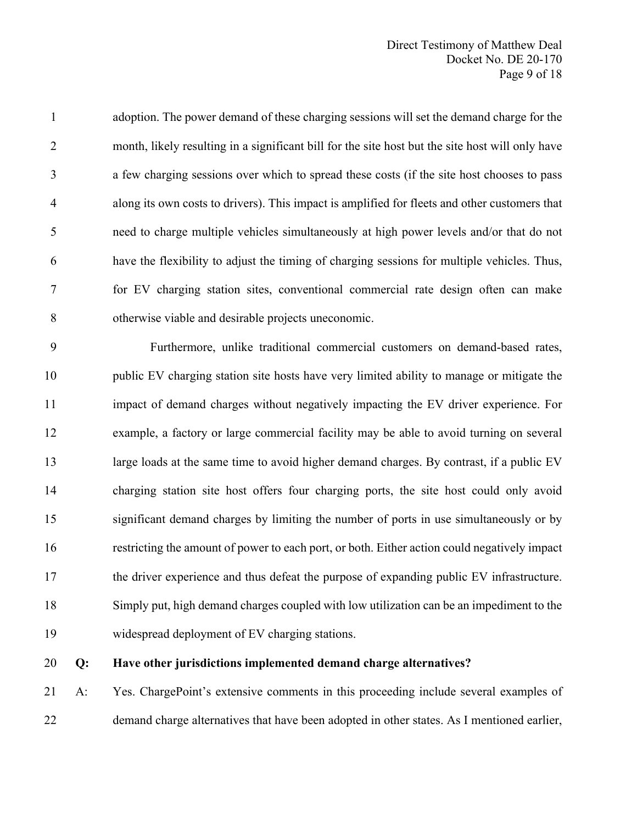adoption. The power demand of these charging sessions will set the demand charge for the month, likely resulting in a significant bill for the site host but the site host will only have a few charging sessions over which to spread these costs (if the site host chooses to pass along its own costs to drivers). This impact is amplified for fleets and other customers that need to charge multiple vehicles simultaneously at high power levels and/or that do not have the flexibility to adjust the timing of charging sessions for multiple vehicles. Thus, for EV charging station sites, conventional commercial rate design often can make otherwise viable and desirable projects uneconomic.

 Furthermore, unlike traditional commercial customers on demand-based rates, public EV charging station site hosts have very limited ability to manage or mitigate the impact of demand charges without negatively impacting the EV driver experience. For example, a factory or large commercial facility may be able to avoid turning on several 13 large loads at the same time to avoid higher demand charges. By contrast, if a public EV charging station site host offers four charging ports, the site host could only avoid significant demand charges by limiting the number of ports in use simultaneously or by restricting the amount of power to each port, or both. Either action could negatively impact 17 the driver experience and thus defeat the purpose of expanding public EV infrastructure. Simply put, high demand charges coupled with low utilization can be an impediment to the widespread deployment of EV charging stations.

#### **Q: Have other jurisdictions implemented demand charge alternatives?**

 A: Yes. ChargePoint's extensive comments in this proceeding include several examples of demand charge alternatives that have been adopted in other states. As I mentioned earlier,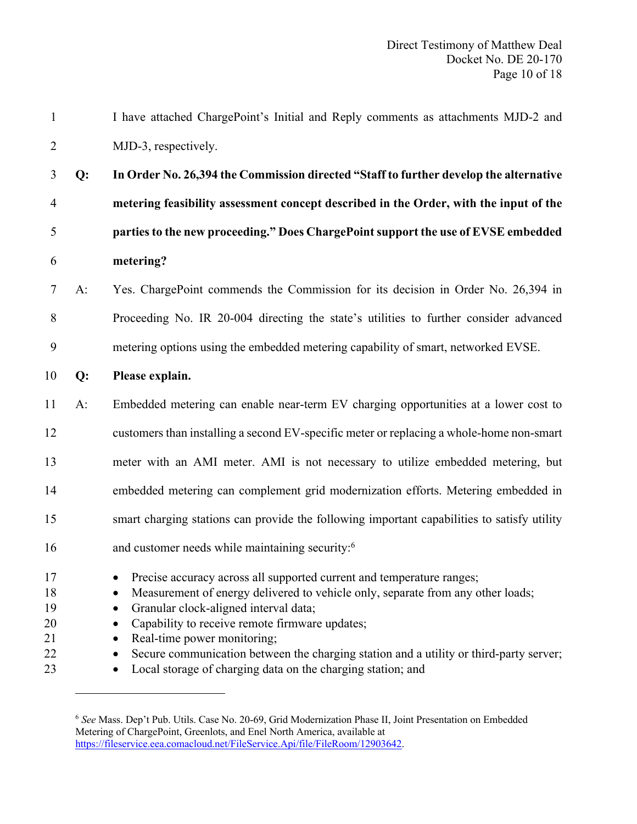| $\mathbf{1}$               |       | I have attached ChargePoint's Initial and Reply comments as attachments MJD-2 and                                                                                                                                                                                                                 |
|----------------------------|-------|---------------------------------------------------------------------------------------------------------------------------------------------------------------------------------------------------------------------------------------------------------------------------------------------------|
| $\overline{2}$             |       | MJD-3, respectively.                                                                                                                                                                                                                                                                              |
| 3                          | Q:    | In Order No. 26,394 the Commission directed "Staff to further develop the alternative                                                                                                                                                                                                             |
| $\overline{4}$             |       | metering feasibility assessment concept described in the Order, with the input of the                                                                                                                                                                                                             |
| 5                          |       | parties to the new proceeding." Does ChargePoint support the use of EVSE embedded                                                                                                                                                                                                                 |
| 6                          |       | metering?                                                                                                                                                                                                                                                                                         |
| $\tau$                     | $A$ : | Yes. ChargePoint commends the Commission for its decision in Order No. 26,394 in                                                                                                                                                                                                                  |
| 8                          |       | Proceeding No. IR 20-004 directing the state's utilities to further consider advanced                                                                                                                                                                                                             |
| 9                          |       | metering options using the embedded metering capability of smart, networked EVSE.                                                                                                                                                                                                                 |
| 10                         | $Q$ : | Please explain.                                                                                                                                                                                                                                                                                   |
| 11                         | $A$ : | Embedded metering can enable near-term EV charging opportunities at a lower cost to                                                                                                                                                                                                               |
| 12                         |       | customers than installing a second EV-specific meter or replacing a whole-home non-smart                                                                                                                                                                                                          |
| 13                         |       | meter with an AMI meter. AMI is not necessary to utilize embedded metering, but                                                                                                                                                                                                                   |
| 14                         |       | embedded metering can complement grid modernization efforts. Metering embedded in                                                                                                                                                                                                                 |
| 15                         |       | smart charging stations can provide the following important capabilities to satisfy utility                                                                                                                                                                                                       |
| 16                         |       | and customer needs while maintaining security: <sup>6</sup>                                                                                                                                                                                                                                       |
| 17<br>18<br>19<br>20<br>21 |       | • Precise accuracy across all supported current and temperature ranges;<br>Measurement of energy delivered to vehicle only, separate from any other loads;<br>Granular clock-aligned interval data;<br>$\bullet$<br>Capability to receive remote firmware updates;<br>Real-time power monitoring; |
| 22<br>23                   |       | Secure communication between the charging station and a utility or third-party server;<br>Local storage of charging data on the charging station; and                                                                                                                                             |

<sup>6</sup> *See* Mass. Dep't Pub. Utils. Case No. 20-69, Grid Modernization Phase II, Joint Presentation on Embedded Metering of ChargePoint, Greenlots, and Enel North America, available at https://fileservice.eea.comacloud.net/FileService.Api/file/FileRoom/12903642.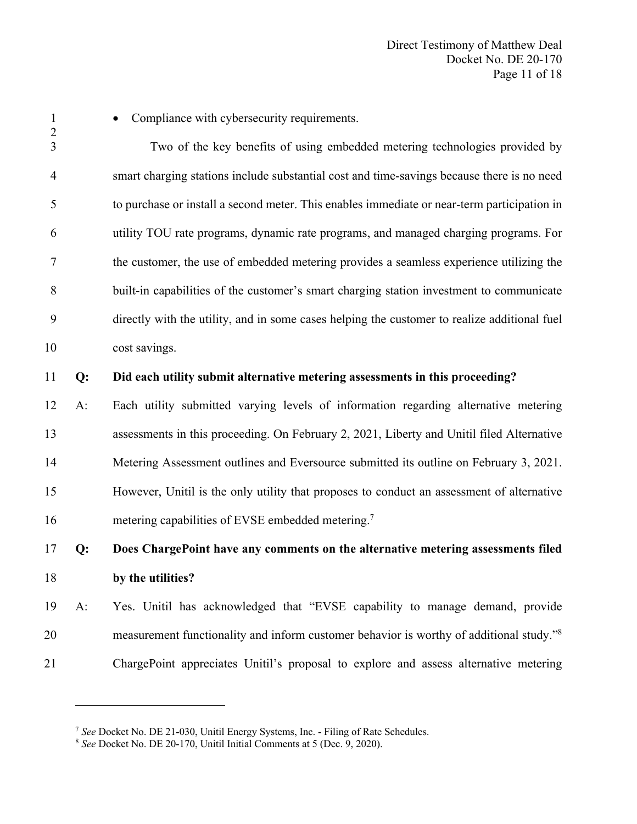• Compliance with cybersecurity requirements. Two of the key benefits of using embedded metering technologies provided by smart charging stations include substantial cost and time-savings because there is no need to purchase or install a second meter. This enables immediate or near-term participation in utility TOU rate programs, dynamic rate programs, and managed charging programs. For the customer, the use of embedded metering provides a seamless experience utilizing the built-in capabilities of the customer's smart charging station investment to communicate directly with the utility, and in some cases helping the customer to realize additional fuel cost savings. **Q: Did each utility submit alternative metering assessments in this proceeding?**  A: Each utility submitted varying levels of information regarding alternative metering assessments in this proceeding. On February 2, 2021, Liberty and Unitil filed Alternative Metering Assessment outlines and Eversource submitted its outline on February 3, 2021. However, Unitil is the only utility that proposes to conduct an assessment of alternative 16 metering capabilities of EVSE embedded metering.<sup>7</sup> **Q: Does ChargePoint have any comments on the alternative metering assessments filed by the utilities?** 

 A: Yes. Unitil has acknowledged that "EVSE capability to manage demand, provide 20 measurement functionality and inform customer behavior is worthy of additional study."<sup>8</sup> ChargePoint appreciates Unitil's proposal to explore and assess alternative metering

*See* Docket No. DE 21-030, Unitil Energy Systems, Inc. - Filing of Rate Schedules.

*See* Docket No. DE 20-170, Unitil Initial Comments at 5 (Dec. 9, 2020).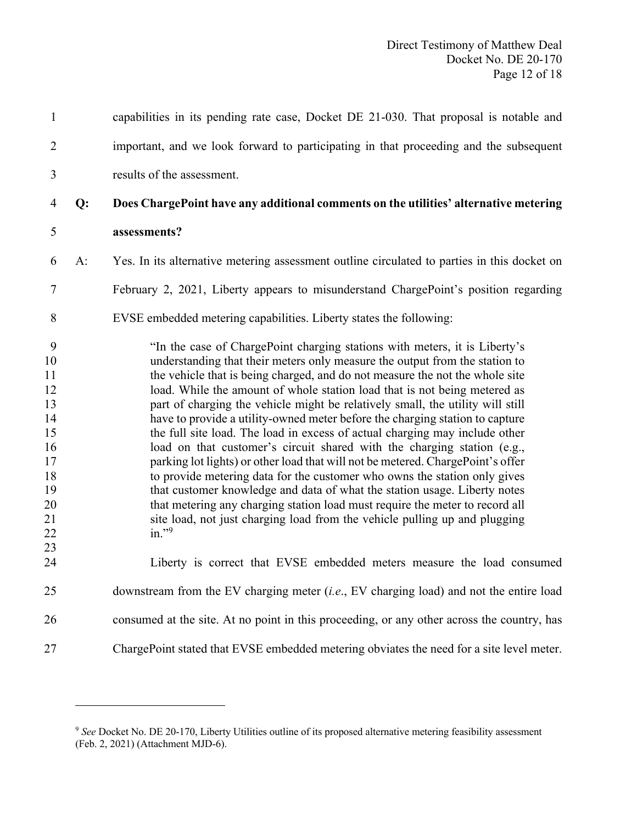| $\mathbf{1}$                                                                          |       | capabilities in its pending rate case, Docket DE 21-030. That proposal is notable and                                                                                                                                                                                                                                                                                                                                                                                                                                                                                                                                                                                                                                                                                                                                                                                                                                                                                                                                                                                     |
|---------------------------------------------------------------------------------------|-------|---------------------------------------------------------------------------------------------------------------------------------------------------------------------------------------------------------------------------------------------------------------------------------------------------------------------------------------------------------------------------------------------------------------------------------------------------------------------------------------------------------------------------------------------------------------------------------------------------------------------------------------------------------------------------------------------------------------------------------------------------------------------------------------------------------------------------------------------------------------------------------------------------------------------------------------------------------------------------------------------------------------------------------------------------------------------------|
| $\overline{2}$                                                                        |       | important, and we look forward to participating in that proceeding and the subsequent                                                                                                                                                                                                                                                                                                                                                                                                                                                                                                                                                                                                                                                                                                                                                                                                                                                                                                                                                                                     |
| 3                                                                                     |       | results of the assessment.                                                                                                                                                                                                                                                                                                                                                                                                                                                                                                                                                                                                                                                                                                                                                                                                                                                                                                                                                                                                                                                |
| 4                                                                                     | Q:    | Does ChargePoint have any additional comments on the utilities' alternative metering                                                                                                                                                                                                                                                                                                                                                                                                                                                                                                                                                                                                                                                                                                                                                                                                                                                                                                                                                                                      |
| 5                                                                                     |       | assessments?                                                                                                                                                                                                                                                                                                                                                                                                                                                                                                                                                                                                                                                                                                                                                                                                                                                                                                                                                                                                                                                              |
| 6                                                                                     | $A$ : | Yes. In its alternative metering assessment outline circulated to parties in this docket on                                                                                                                                                                                                                                                                                                                                                                                                                                                                                                                                                                                                                                                                                                                                                                                                                                                                                                                                                                               |
| 7                                                                                     |       | February 2, 2021, Liberty appears to misunderstand ChargePoint's position regarding                                                                                                                                                                                                                                                                                                                                                                                                                                                                                                                                                                                                                                                                                                                                                                                                                                                                                                                                                                                       |
| 8                                                                                     |       | EVSE embedded metering capabilities. Liberty states the following:                                                                                                                                                                                                                                                                                                                                                                                                                                                                                                                                                                                                                                                                                                                                                                                                                                                                                                                                                                                                        |
| 9<br>10<br>11<br>12<br>13<br>14<br>15<br>16<br>17<br>18<br>19<br>20<br>21<br>22<br>23 |       | "In the case of ChargePoint charging stations with meters, it is Liberty's<br>understanding that their meters only measure the output from the station to<br>the vehicle that is being charged, and do not measure the not the whole site<br>load. While the amount of whole station load that is not being metered as<br>part of charging the vehicle might be relatively small, the utility will still<br>have to provide a utility-owned meter before the charging station to capture<br>the full site load. The load in excess of actual charging may include other<br>load on that customer's circuit shared with the charging station (e.g.,<br>parking lot lights) or other load that will not be metered. ChargePoint's offer<br>to provide metering data for the customer who owns the station only gives<br>that customer knowledge and data of what the station usage. Liberty notes<br>that metering any charging station load must require the meter to record all<br>site load, not just charging load from the vehicle pulling up and plugging<br>in." $9$ |
| 24                                                                                    |       | Liberty is correct that EVSE embedded meters measure the load consumed                                                                                                                                                                                                                                                                                                                                                                                                                                                                                                                                                                                                                                                                                                                                                                                                                                                                                                                                                                                                    |
| 25                                                                                    |       | downstream from the EV charging meter $(i.e., EV^{\text{ charging load}})$ and not the entire load                                                                                                                                                                                                                                                                                                                                                                                                                                                                                                                                                                                                                                                                                                                                                                                                                                                                                                                                                                        |
| 26                                                                                    |       | consumed at the site. At no point in this proceeding, or any other across the country, has                                                                                                                                                                                                                                                                                                                                                                                                                                                                                                                                                                                                                                                                                                                                                                                                                                                                                                                                                                                |
| 27                                                                                    |       | ChargePoint stated that EVSE embedded metering obviates the need for a site level meter.                                                                                                                                                                                                                                                                                                                                                                                                                                                                                                                                                                                                                                                                                                                                                                                                                                                                                                                                                                                  |

<sup>&</sup>lt;sup>9</sup> See Docket No. DE 20-170, Liberty Utilities outline of its proposed alternative metering feasibility assessment (Feb. 2, 2021) (Attachment MJD-6).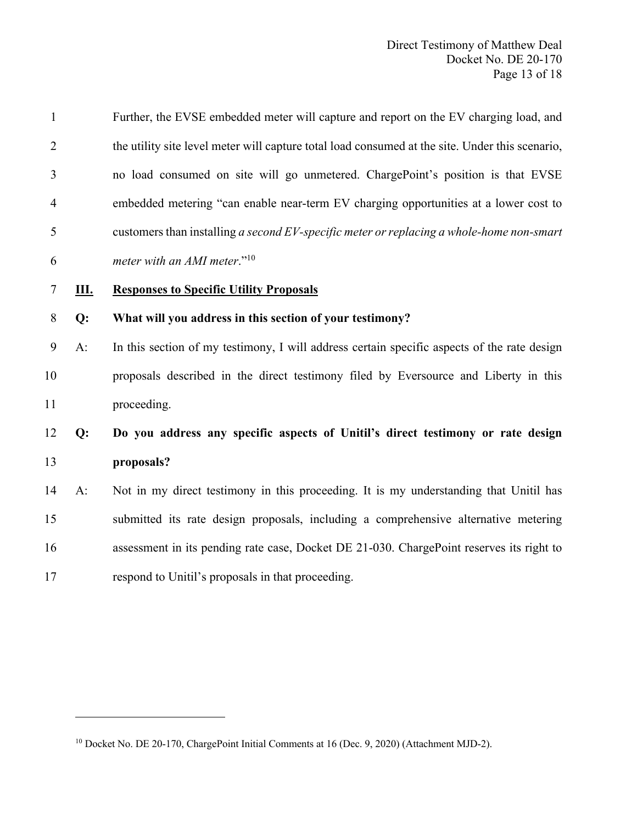| $\mathbf{1}$   |    | Further, the EVSE embedded meter will capture and report on the EV charging load, and           |
|----------------|----|-------------------------------------------------------------------------------------------------|
| $\overline{2}$ |    | the utility site level meter will capture total load consumed at the site. Under this scenario, |
| 3              |    | no load consumed on site will go unmetered. ChargePoint's position is that EVSE                 |
| $\overline{4}$ |    | embedded metering "can enable near-term EV charging opportunities at a lower cost to            |
| 5              |    | customers than installing a second $EV$ -specific meter or replacing a whole-home non-smart     |
| 6              |    | meter with an AMI meter." <sup>10</sup>                                                         |
| 7              | Ш. | <b>Responses to Specific Utility Proposals</b>                                                  |
| $8\,$          | Q: | What will you address in this section of your testimony?                                        |
| 9              | A: | In this section of my testimony, I will address certain specific aspects of the rate design     |
| 10             |    | proposals described in the direct testimony filed by Eversource and Liberty in this             |
| 11             |    | proceeding.                                                                                     |
| 12             | Q: | Do you address any specific aspects of Unitil's direct testimony or rate design                 |
| 13             |    | proposals?                                                                                      |
| 14             | A: | Not in my direct testimony in this proceeding. It is my understanding that Unitil has           |
| 15             |    | submitted its rate design proposals, including a comprehensive alternative metering             |
| 16             |    | assessment in its pending rate case, Docket DE 21-030. ChargePoint reserves its right to        |
| 17             |    | respond to Unitil's proposals in that proceeding.                                               |

<u> 1999 - Johann Barnett, f</u>

Docket No. DE 20-170, ChargePoint Initial Comments at 16 (Dec. 9, 2020) (Attachment MJD-2).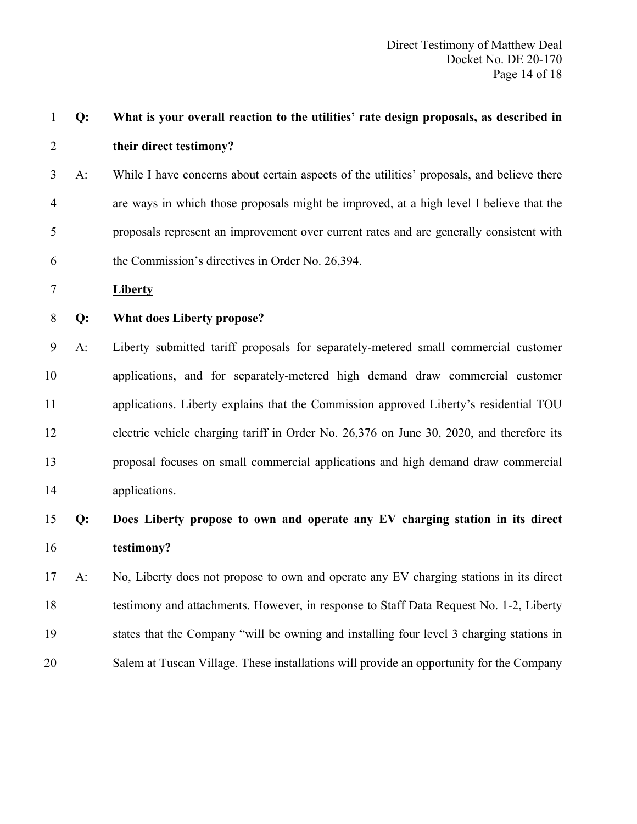| $\mathbf{1}$   | Q:              | What is your overall reaction to the utilities' rate design proposals, as described in     |
|----------------|-----------------|--------------------------------------------------------------------------------------------|
| $\overline{2}$ |                 | their direct testimony?                                                                    |
| 3              | $A$ :           | While I have concerns about certain aspects of the utilities' proposals, and believe there |
| $\overline{4}$ |                 | are ways in which those proposals might be improved, at a high level I believe that the    |
| 5              |                 | proposals represent an improvement over current rates and are generally consistent with    |
| 6              |                 | the Commission's directives in Order No. 26,394.                                           |
| 7              |                 | <b>Liberty</b>                                                                             |
| 8              | Q:              | <b>What does Liberty propose?</b>                                                          |
| 9              | $A$ :           | Liberty submitted tariff proposals for separately-metered small commercial customer        |
| 10             |                 | applications, and for separately-metered high demand draw commercial customer              |
| 11             |                 | applications. Liberty explains that the Commission approved Liberty's residential TOU      |
| 12             |                 | electric vehicle charging tariff in Order No. 26,376 on June 30, 2020, and therefore its   |
| 13             |                 | proposal focuses on small commercial applications and high demand draw commercial          |
| 14             |                 | applications.                                                                              |
| 15             | Q:              | Does Liberty propose to own and operate any EV charging station in its direct              |
| 16             |                 | testimony?                                                                                 |
|                | $17 \text{ A}:$ | No, Liberty does not propose to own and operate any EV charging stations in its direct     |
| 18             |                 | testimony and attachments. However, in response to Staff Data Request No. 1-2, Liberty     |
| 19             |                 | states that the Company "will be owning and installing four level 3 charging stations in   |
| 20             |                 | Salem at Tuscan Village. These installations will provide an opportunity for the Company   |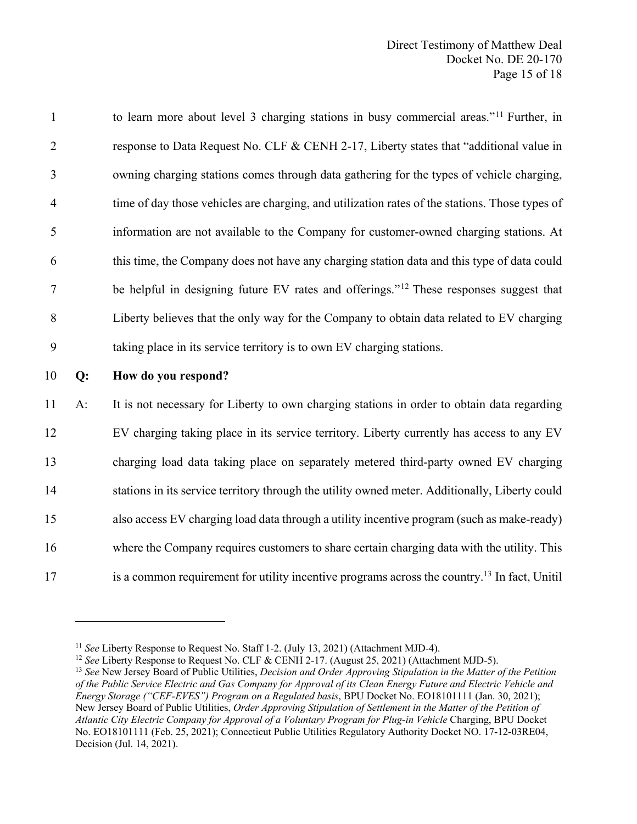to learn more about level 3 charging stations in busy commercial areas."<sup>11</sup> Further, in response to Data Request No. CLF & CENH 2-17, Liberty states that "additional value in owning charging stations comes through data gathering for the types of vehicle charging, time of day those vehicles are charging, and utilization rates of the stations. Those types of information are not available to the Company for customer-owned charging stations. At this time, the Company does not have any charging station data and this type of data could 7 be helpful in designing future EV rates and offerings."<sup>12</sup> These responses suggest that Liberty believes that the only way for the Company to obtain data related to EV charging taking place in its service territory is to own EV charging stations. **Q: How do you respond?** 

 A: It is not necessary for Liberty to own charging stations in order to obtain data regarding EV charging taking place in its service territory. Liberty currently has access to any EV charging load data taking place on separately metered third-party owned EV charging stations in its service territory through the utility owned meter. Additionally, Liberty could also access EV charging load data through a utility incentive program (such as make-ready) where the Company requires customers to share certain charging data with the utility. This  $\mu$  is a common requirement for utility incentive programs across the country.<sup>13</sup> In fact, Unitil

<sup>11</sup> *See* Liberty Response to Request No. Staff 1-2. (July 13, 2021) (Attachment MJD-4).

<sup>&</sup>lt;sup>12</sup> *See* Liberty Response to Request No. CLF & CENH 2-17. (August 25, 2021) (Attachment MJD-5).

<sup>13</sup> *See* New Jersey Board of Public Utilities, *Decision and Order Approving Stipulation in the Matter of the Petition of the Public Service Electric and Gas Company for Approval of its Clean Energy Future and Electric Vehicle and Energy Storage ("CEF-EVES") Program on a Regulated basis*, BPU Docket No. EO18101111 (Jan. 30, 2021); New Jersey Board of Public Utilities, *Order Approving Stipulation of Settlement in the Matter of the Petition of Atlantic City Electric Company for Approval of a Voluntary Program for Plug-in Vehicle* Charging, BPU Docket No. EO18101111 (Feb. 25, 2021); Connecticut Public Utilities Regulatory Authority Docket NO. 17-12-03RE04, Decision (Jul. 14, 2021).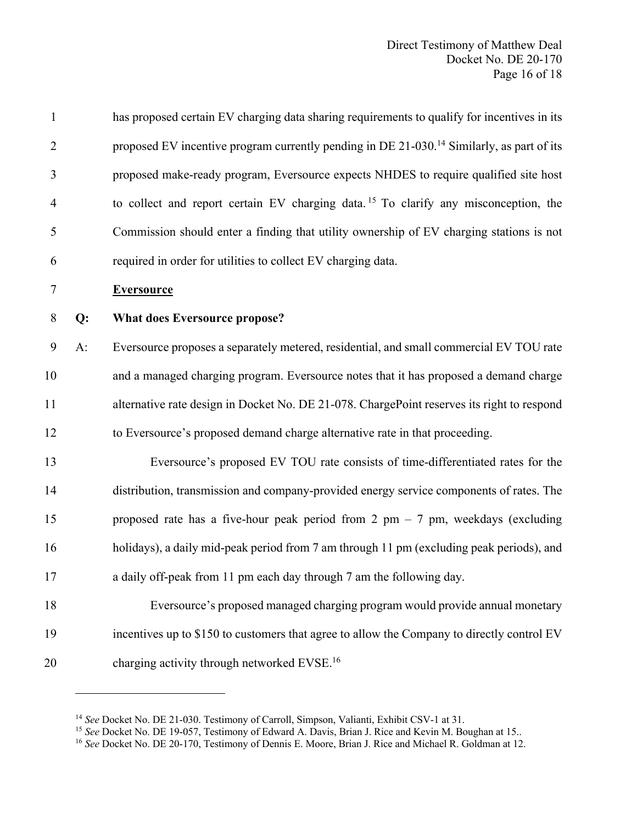| $\mathbf{1}$   |       | has proposed certain EV charging data sharing requirements to qualify for incentives in its           |
|----------------|-------|-------------------------------------------------------------------------------------------------------|
| $\overline{2}$ |       | proposed EV incentive program currently pending in DE 21-030. <sup>14</sup> Similarly, as part of its |
| 3              |       | proposed make-ready program, Eversource expects NHDES to require qualified site host                  |
| $\overline{4}$ |       | to collect and report certain EV charging data. <sup>15</sup> To clarify any misconception, the       |
| 5              |       | Commission should enter a finding that utility ownership of EV charging stations is not               |
| 6              |       | required in order for utilities to collect EV charging data.                                          |
| 7              |       | <b>Eversource</b>                                                                                     |
| 8              | Q:    | <b>What does Eversource propose?</b>                                                                  |
| 9              | $A$ : | Eversource proposes a separately metered, residential, and small commercial EV TOU rate               |
| 10             |       | and a managed charging program. Eversource notes that it has proposed a demand charge                 |
| 11             |       | alternative rate design in Docket No. DE 21-078. ChargePoint reserves its right to respond            |
| 12             |       | to Eversource's proposed demand charge alternative rate in that proceeding.                           |
| 13             |       | Eversource's proposed EV TOU rate consists of time-differentiated rates for the                       |
| 14             |       | distribution, transmission and company-provided energy service components of rates. The               |
| 15             |       | proposed rate has a five-hour peak period from 2 pm $-$ 7 pm, weekdays (excluding                     |
| 16             |       | holidays), a daily mid-peak period from 7 am through 11 pm (excluding peak periods), and              |
| 17             |       | a daily off-peak from 11 pm each day through 7 am the following day.                                  |
| 18             |       | Eversource's proposed managed charging program would provide annual monetary                          |
| 19             |       | incentives up to \$150 to customers that agree to allow the Company to directly control EV            |
| 20             |       | charging activity through networked EVSE. <sup>16</sup>                                               |

<sup>&</sup>lt;sup>14</sup> *See* Docket No. DE 21-030. Testimony of Carroll, Simpson, Valianti, Exhibit CSV-1 at 31.<br><sup>15</sup> *See* Docket No. DE 19-057, Testimony of Edward A. Davis, Brian J. Rice and Kevin M. Boughan at 15..

*See* Docket No. DE 20-170, Testimony of Dennis E. Moore, Brian J. Rice and Michael R. Goldman at 12.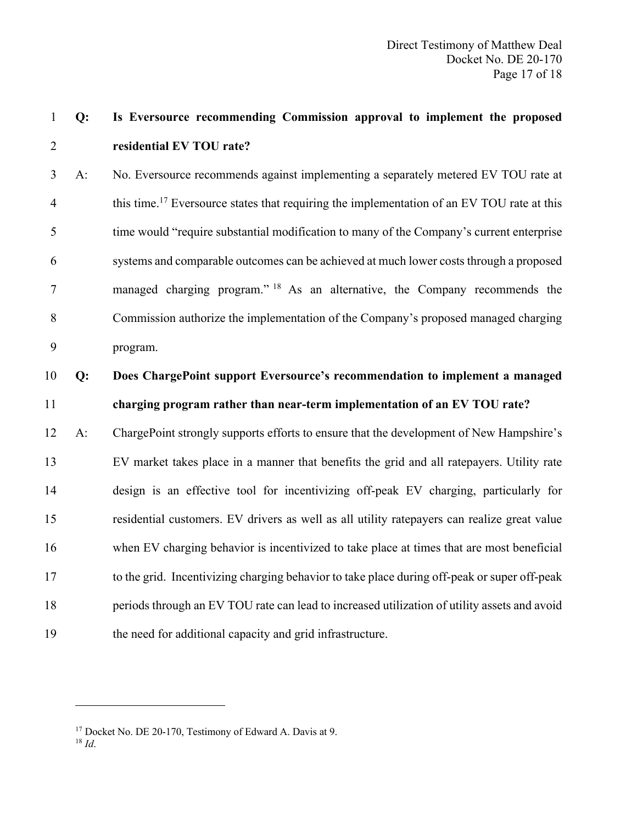# **Q: Is Eversource recommending Commission approval to implement the proposed residential EV TOU rate?**

 A: No. Eversource recommends against implementing a separately metered EV TOU rate at 4 this time.<sup>17</sup> Eversource states that requiring the implementation of an EV TOU rate at this time would "require substantial modification to many of the Company's current enterprise systems and comparable outcomes can be achieved at much lower costs through a proposed 7 managed charging program." <sup>18</sup> As an alternative, the Company recommends the Commission authorize the implementation of the Company's proposed managed charging program.

# **Q: Does ChargePoint support Eversource's recommendation to implement a managed charging program rather than near-term implementation of an EV TOU rate?**

 A: ChargePoint strongly supports efforts to ensure that the development of New Hampshire's EV market takes place in a manner that benefits the grid and all ratepayers. Utility rate design is an effective tool for incentivizing off-peak EV charging, particularly for residential customers. EV drivers as well as all utility ratepayers can realize great value when EV charging behavior is incentivized to take place at times that are most beneficial to the grid. Incentivizing charging behavior to take place during off-peak or super off-peak periods through an EV TOU rate can lead to increased utilization of utility assets and avoid the need for additional capacity and grid infrastructure.

<sup>&</sup>lt;sup>17</sup> Docket No. DE 20-170, Testimony of Edward A. Davis at 9.

*Id*.